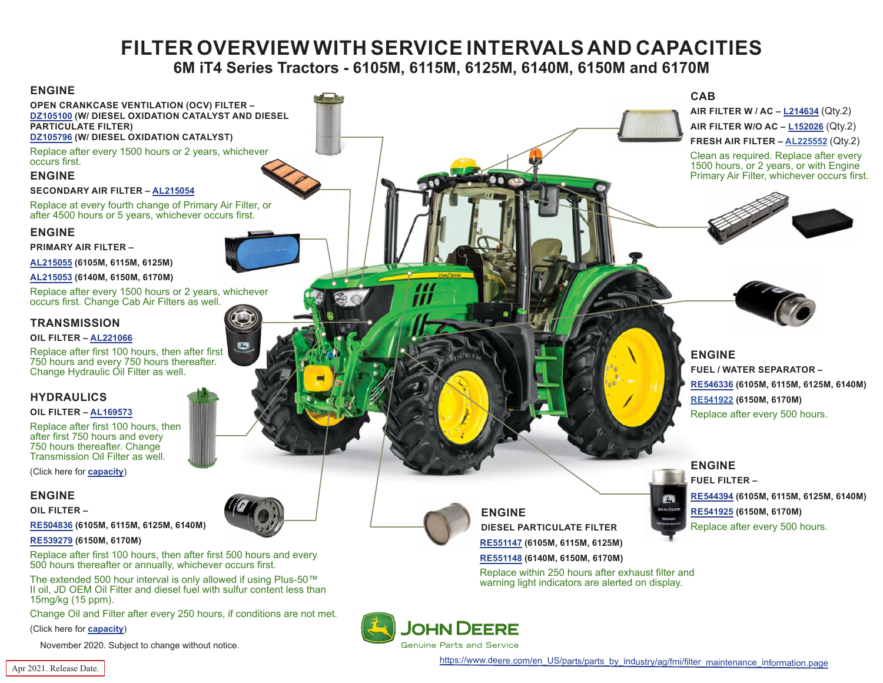# **FILTER OVERVIEW WITH SERVICE INTERVALS AND CAPACITIES**

# **6M iT4 Series Tractors - 6105M, 6115M, 6125M, 6140M, 6150M and 6170M**

<span id="page-0-0"></span>

**Genuine Parts and Service** 

(Click here for **[capacity](#page-1-0)**)

November 2020. Subject to change without notice.